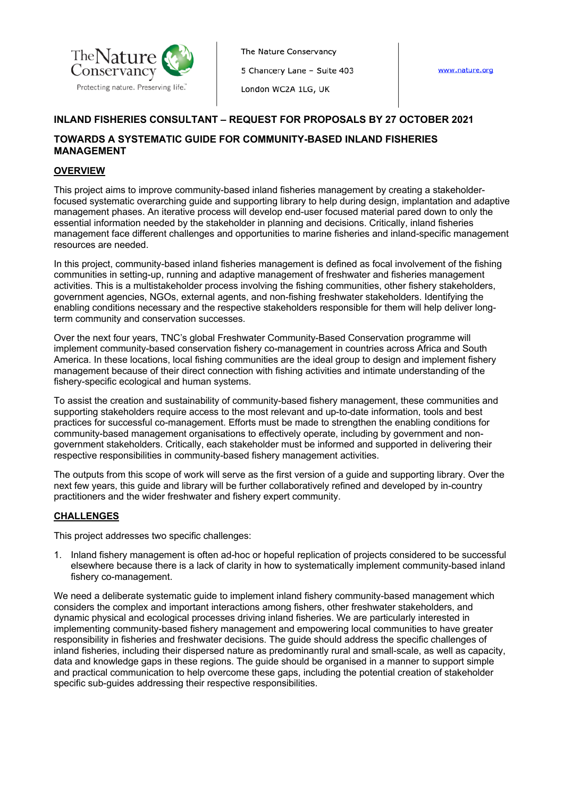

The Nature Conservancy 5 Chancery Lane - Suite 403

London WC2A 1LG, UK

www.nature.org

# **INLAND FISHERIES CONSULTANT – REQUEST FOR PROPOSALS BY 27 OCTOBER 2021**

# **TOWARDS A SYSTEMATIC GUIDE FOR COMMUNITY-BASED INLAND FISHERIES MANAGEMENT**

### **OVERVIEW**

This project aims to improve community-based inland fisheries management by creating a stakeholderfocused systematic overarching guide and supporting library to help during design, implantation and adaptive management phases. An iterative process will develop end-user focused material pared down to only the essential information needed by the stakeholder in planning and decisions. Critically, inland fisheries management face different challenges and opportunities to marine fisheries and inland-specific management resources are needed.

In this project, community-based inland fisheries management is defined as focal involvement of the fishing communities in setting-up, running and adaptive management of freshwater and fisheries management activities. This is a multistakeholder process involving the fishing communities, other fishery stakeholders, government agencies, NGOs, external agents, and non-fishing freshwater stakeholders. Identifying the enabling conditions necessary and the respective stakeholders responsible for them will help deliver longterm community and conservation successes.

Over the next four years, TNC's global Freshwater Community-Based Conservation programme will implement community-based conservation fishery co-management in countries across Africa and South America. In these locations, local fishing communities are the ideal group to design and implement fishery management because of their direct connection with fishing activities and intimate understanding of the fishery-specific ecological and human systems.

To assist the creation and sustainability of community-based fishery management, these communities and supporting stakeholders require access to the most relevant and up-to-date information, tools and best practices for successful co-management. Efforts must be made to strengthen the enabling conditions for community-based management organisations to effectively operate, including by government and nongovernment stakeholders. Critically, each stakeholder must be informed and supported in delivering their respective responsibilities in community-based fishery management activities.

The outputs from this scope of work will serve as the first version of a guide and supporting library. Over the next few years, this guide and library will be further collaboratively refined and developed by in-country practitioners and the wider freshwater and fishery expert community.

#### **CHALLENGES**

This project addresses two specific challenges:

1. Inland fishery management is often ad-hoc or hopeful replication of projects considered to be successful elsewhere because there is a lack of clarity in how to systematically implement community-based inland fishery co-management.

We need a deliberate systematic guide to implement inland fishery community-based management which considers the complex and important interactions among fishers, other freshwater stakeholders, and dynamic physical and ecological processes driving inland fisheries. We are particularly interested in implementing community-based fishery management and empowering local communities to have greater responsibility in fisheries and freshwater decisions. The guide should address the specific challenges of inland fisheries, including their dispersed nature as predominantly rural and small-scale, as well as capacity, data and knowledge gaps in these regions. The guide should be organised in a manner to support simple and practical communication to help overcome these gaps, including the potential creation of stakeholder specific sub-guides addressing their respective responsibilities.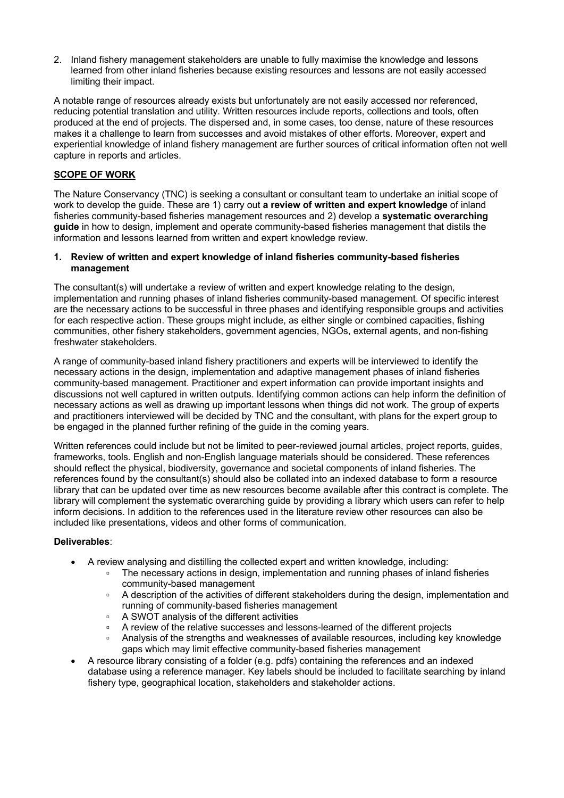2. Inland fishery management stakeholders are unable to fully maximise the knowledge and lessons learned from other inland fisheries because existing resources and lessons are not easily accessed limiting their impact.

A notable range of resources already exists but unfortunately are not easily accessed nor referenced, reducing potential translation and utility. Written resources include reports, collections and tools, often produced at the end of projects. The dispersed and, in some cases, too dense, nature of these resources makes it a challenge to learn from successes and avoid mistakes of other efforts. Moreover, expert and experiential knowledge of inland fishery management are further sources of critical information often not well capture in reports and articles.

### **SCOPE OF WORK**

The Nature Conservancy (TNC) is seeking a consultant or consultant team to undertake an initial scope of work to develop the guide. These are 1) carry out **a review of written and expert knowledge** of inland fisheries community-based fisheries management resources and 2) develop a **systematic overarching guide** in how to design, implement and operate community-based fisheries management that distils the information and lessons learned from written and expert knowledge review.

#### **1. Review of written and expert knowledge of inland fisheries community-based fisheries management**

The consultant(s) will undertake a review of written and expert knowledge relating to the design, implementation and running phases of inland fisheries community-based management. Of specific interest are the necessary actions to be successful in three phases and identifying responsible groups and activities for each respective action. These groups might include, as either single or combined capacities, fishing communities, other fishery stakeholders, government agencies, NGOs, external agents, and non-fishing freshwater stakeholders.

A range of community-based inland fishery practitioners and experts will be interviewed to identify the necessary actions in the design, implementation and adaptive management phases of inland fisheries community-based management. Practitioner and expert information can provide important insights and discussions not well captured in written outputs. Identifying common actions can help inform the definition of necessary actions as well as drawing up important lessons when things did not work. The group of experts and practitioners interviewed will be decided by TNC and the consultant, with plans for the expert group to be engaged in the planned further refining of the guide in the coming years.

Written references could include but not be limited to peer-reviewed journal articles, project reports, guides, frameworks, tools. English and non-English language materials should be considered. These references should reflect the physical, biodiversity, governance and societal components of inland fisheries. The references found by the consultant(s) should also be collated into an indexed database to form a resource library that can be updated over time as new resources become available after this contract is complete. The library will complement the systematic overarching guide by providing a library which users can refer to help inform decisions. In addition to the references used in the literature review other resources can also be included like presentations, videos and other forms of communication.

#### **Deliverables**:

- A review analysing and distilling the collected expert and written knowledge, including:
	- The necessary actions in design, implementation and running phases of inland fisheries community-based management
	- A description of the activities of different stakeholders during the design, implementation and running of community-based fisheries management
	- A SWOT analysis of the different activities
	- A review of the relative successes and lessons-learned of the different projects
	- Analysis of the strengths and weaknesses of available resources, including key knowledge gaps which may limit effective community-based fisheries management
- A resource library consisting of a folder (e.g. pdfs) containing the references and an indexed database using a reference manager. Key labels should be included to facilitate searching by inland fishery type, geographical location, stakeholders and stakeholder actions.